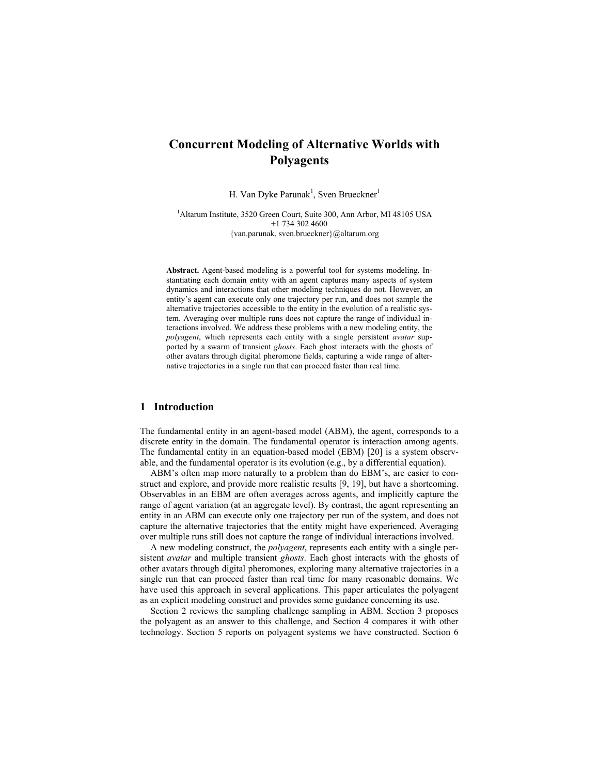# **Concurrent Modeling of Alternative Worlds with Polyagents**

H. Van Dyke Parunak<sup>1</sup>, Sven Brueckner<sup>1</sup>

<sup>1</sup> Altarum Institute, 3520 Green Court, Suite 300, Ann Arbor, MI 48105 USA +1 734 302 4600 {van.parunak, sven.brueckner}@altarum.org

**Abstract.** Agent-based modeling is a powerful tool for systems modeling. Instantiating each domain entity with an agent captures many aspects of system dynamics and interactions that other modeling techniques do not. However, an entity's agent can execute only one trajectory per run, and does not sample the alternative trajectories accessible to the entity in the evolution of a realistic system. Averaging over multiple runs does not capture the range of individual interactions involved. We address these problems with a new modeling entity, the *polyagent*, which represents each entity with a single persistent *avatar* supported by a swarm of transient *ghosts*. Each ghost interacts with the ghosts of other avatars through digital pheromone fields, capturing a wide range of alternative trajectories in a single run that can proceed faster than real time.

### **1 Introduction**

The fundamental entity in an agent-based model (ABM), the agent, corresponds to a discrete entity in the domain. The fundamental operator is interaction among agents. The fundamental entity in an equation-based model (EBM) [20] is a system observable, and the fundamental operator is its evolution (e.g., by a differential equation).

ABM's often map more naturally to a problem than do EBM's, are easier to construct and explore, and provide more realistic results [9, 19], but have a shortcoming. Observables in an EBM are often averages across agents, and implicitly capture the range of agent variation (at an aggregate level). By contrast, the agent representing an entity in an ABM can execute only one trajectory per run of the system, and does not capture the alternative trajectories that the entity might have experienced. Averaging over multiple runs still does not capture the range of individual interactions involved.

A new modeling construct, the *polyagent*, represents each entity with a single persistent *avatar* and multiple transient *ghosts*. Each ghost interacts with the ghosts of other avatars through digital pheromones, exploring many alternative trajectories in a single run that can proceed faster than real time for many reasonable domains. We have used this approach in several applications. This paper articulates the polyagent as an explicit modeling construct and provides some guidance concerning its use.

Section 2 reviews the sampling challenge sampling in ABM. Section 3 proposes the polyagent as an answer to this challenge, and Section 4 compares it with other technology. Section 5 reports on polyagent systems we have constructed. Section 6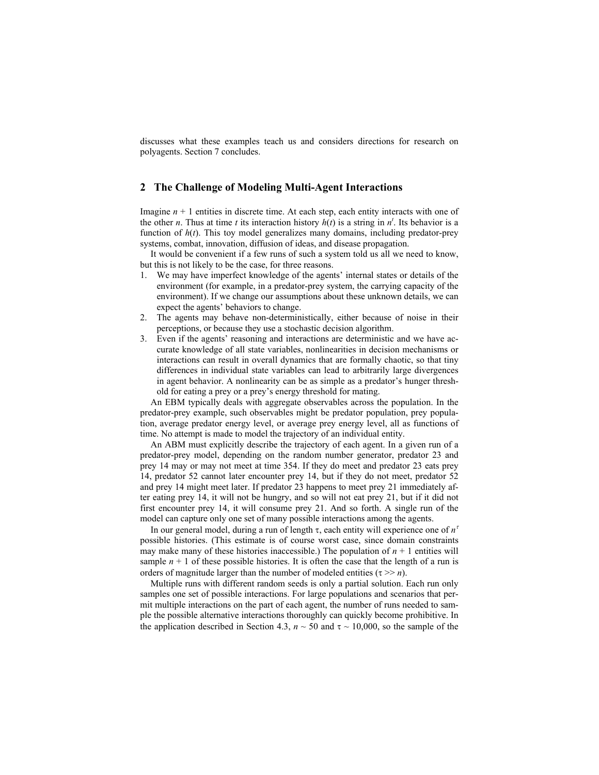discusses what these examples teach us and considers directions for research on polyagents. Section 7 concludes.

### **2 The Challenge of Modeling Multi-Agent Interactions**

Imagine  $n + 1$  entities in discrete time. At each step, each entity interacts with one of the other *n*. Thus at time *t* its interaction history  $h(t)$  is a string in  $n<sup>t</sup>$ . Its behavior is a function of *h*(*t*). This toy model generalizes many domains, including predator-prey systems, combat, innovation, diffusion of ideas, and disease propagation.

It would be convenient if a few runs of such a system told us all we need to know, but this is not likely to be the case, for three reasons.

- 1. We may have imperfect knowledge of the agents' internal states or details of the environment (for example, in a predator-prey system, the carrying capacity of the environment). If we change our assumptions about these unknown details, we can expect the agents' behaviors to change.
- 2. The agents may behave non-deterministically, either because of noise in their perceptions, or because they use a stochastic decision algorithm.
- 3. Even if the agents' reasoning and interactions are deterministic and we have accurate knowledge of all state variables, nonlinearities in decision mechanisms or interactions can result in overall dynamics that are formally chaotic, so that tiny differences in individual state variables can lead to arbitrarily large divergences in agent behavior. A nonlinearity can be as simple as a predator's hunger threshold for eating a prey or a prey's energy threshold for mating.

An EBM typically deals with aggregate observables across the population. In the predator-prey example, such observables might be predator population, prey population, average predator energy level, or average prey energy level, all as functions of time. No attempt is made to model the trajectory of an individual entity.

An ABM must explicitly describe the trajectory of each agent. In a given run of a predator-prey model, depending on the random number generator, predator 23 and prey 14 may or may not meet at time 354. If they do meet and predator 23 eats prey 14, predator 52 cannot later encounter prey 14, but if they do not meet, predator 52 and prey 14 might meet later. If predator 23 happens to meet prey 21 immediately after eating prey 14, it will not be hungry, and so will not eat prey 21, but if it did not first encounter prey 14, it will consume prey 21. And so forth. A single run of the model can capture only one set of many possible interactions among the agents.

In our general model, during a run of length τ, each entity will experience one of *n*<sup>τ</sup> possible histories. (This estimate is of course worst case, since domain constraints may make many of these histories inaccessible.) The population of  $n + 1$  entities will sample  $n + 1$  of these possible histories. It is often the case that the length of a run is orders of magnitude larger than the number of modeled entities ( $\tau \gg n$ ).

Multiple runs with different random seeds is only a partial solution. Each run only samples one set of possible interactions. For large populations and scenarios that permit multiple interactions on the part of each agent, the number of runs needed to sample the possible alternative interactions thoroughly can quickly become prohibitive. In the application described in Section 4.3,  $n \sim 50$  and  $\tau \sim 10,000$ , so the sample of the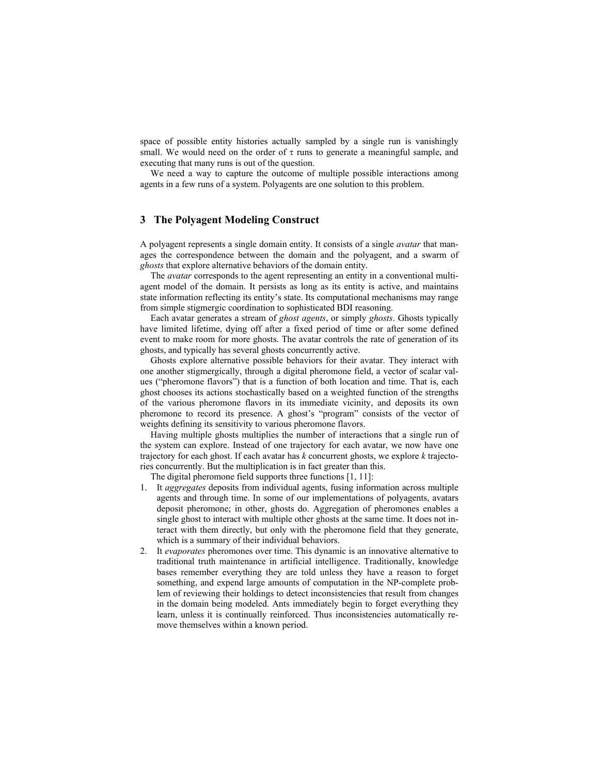space of possible entity histories actually sampled by a single run is vanishingly small. We would need on the order of  $\tau$  runs to generate a meaningful sample, and executing that many runs is out of the question.

We need a way to capture the outcome of multiple possible interactions among agents in a few runs of a system. Polyagents are one solution to this problem.

## **3 The Polyagent Modeling Construct**

A polyagent represents a single domain entity. It consists of a single *avatar* that manages the correspondence between the domain and the polyagent, and a swarm of *ghosts* that explore alternative behaviors of the domain entity.

The *avatar* corresponds to the agent representing an entity in a conventional multiagent model of the domain. It persists as long as its entity is active, and maintains state information reflecting its entity's state. Its computational mechanisms may range from simple stigmergic coordination to sophisticated BDI reasoning.

Each avatar generates a stream of *ghost agents*, or simply *ghosts*. Ghosts typically have limited lifetime, dying off after a fixed period of time or after some defined event to make room for more ghosts. The avatar controls the rate of generation of its ghosts, and typically has several ghosts concurrently active.

Ghosts explore alternative possible behaviors for their avatar. They interact with one another stigmergically, through a digital pheromone field, a vector of scalar values ("pheromone flavors") that is a function of both location and time. That is, each ghost chooses its actions stochastically based on a weighted function of the strengths of the various pheromone flavors in its immediate vicinity, and deposits its own pheromone to record its presence. A ghost's "program" consists of the vector of weights defining its sensitivity to various pheromone flavors.

Having multiple ghosts multiplies the number of interactions that a single run of the system can explore. Instead of one trajectory for each avatar, we now have one trajectory for each ghost. If each avatar has *k* concurrent ghosts, we explore *k* trajectories concurrently. But the multiplication is in fact greater than this.

The digital pheromone field supports three functions [1, 11]:

- 1. It *aggregates* deposits from individual agents, fusing information across multiple agents and through time. In some of our implementations of polyagents, avatars deposit pheromone; in other, ghosts do. Aggregation of pheromones enables a single ghost to interact with multiple other ghosts at the same time. It does not interact with them directly, but only with the pheromone field that they generate, which is a summary of their individual behaviors.
- 2. It *evaporates* pheromones over time. This dynamic is an innovative alternative to traditional truth maintenance in artificial intelligence. Traditionally, knowledge bases remember everything they are told unless they have a reason to forget something, and expend large amounts of computation in the NP-complete problem of reviewing their holdings to detect inconsistencies that result from changes in the domain being modeled. Ants immediately begin to forget everything they learn, unless it is continually reinforced. Thus inconsistencies automatically remove themselves within a known period.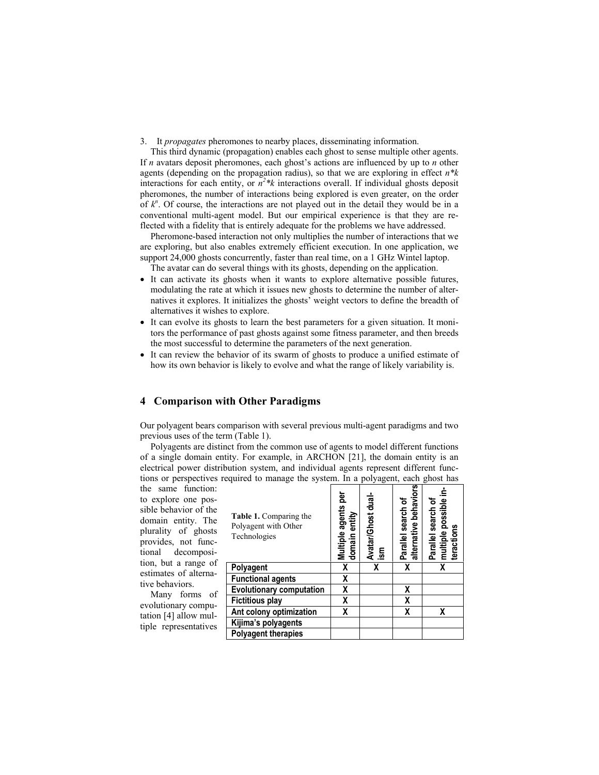3. It *propagates* pheromones to nearby places, disseminating information.

This third dynamic (propagation) enables each ghost to sense multiple other agents. If *n* avatars deposit pheromones, each ghost's actions are influenced by up to *n* other agents (depending on the propagation radius), so that we are exploring in effect *n\*k* interactions for each entity, or  $n^2$ <sup>\*</sup> $k$  interactions overall. If individual ghosts deposit pheromones, the number of interactions being explored is even greater, on the order of  $k^n$ . Of course, the interactions are not played out in the detail they would be in a conventional multi-agent model. But our empirical experience is that they are reflected with a fidelity that is entirely adequate for the problems we have addressed.

Pheromone-based interaction not only multiplies the number of interactions that we are exploring, but also enables extremely efficient execution. In one application, we support 24,000 ghosts concurrently, faster than real time, on a 1 GHz Wintel laptop.

The avatar can do several things with its ghosts, depending on the application.

- It can activate its ghosts when it wants to explore alternative possible futures, modulating the rate at which it issues new ghosts to determine the number of alternatives it explores. It initializes the ghosts' weight vectors to define the breadth of alternatives it wishes to explore.
- It can evolve its ghosts to learn the best parameters for a given situation. It monitors the performance of past ghosts against some fitness parameter, and then breeds the most successful to determine the parameters of the next generation.
- It can review the behavior of its swarm of ghosts to produce a unified estimate of how its own behavior is likely to evolve and what the range of likely variability is.

# **4 Comparison with Other Paradigms**

Our polyagent bears comparison with several previous multi-agent paradigms and two previous uses of the term (Table 1).

Polyagents are distinct from the common use of agents to model different functions of a single domain entity. For example, in ARCHON [21], the domain entity is an electrical power distribution system, and individual agents represent different functions or perspectives required to manage the system. In a polyagent, each ghost has

the same function: to explore one possible behavior of the domain entity. The plurality of ghosts provides, not functional decomposition, but a range of estimates of alternative behaviors.

Many forms of evolutionary computation [4] allow multiple representatives

| <b>Table 1.</b> Comparing the<br>Polyagent with Other<br>Technologies | Multiple agents per<br>domain entity | Avatar/Ghost dual-<br>$\mathsf{ism}$ | alternative behaviors<br>Parallel search of | Parallel search of<br>multiple possible i<br>teractions |
|-----------------------------------------------------------------------|--------------------------------------|--------------------------------------|---------------------------------------------|---------------------------------------------------------|
| Polyagent                                                             | χ                                    | χ                                    | χ                                           | χ                                                       |
| Functional agents                                                     | χ                                    |                                      |                                             |                                                         |
| <b>Evolutionary computation</b>                                       | χ                                    |                                      | χ                                           |                                                         |
| <b>Fictitious play</b>                                                | χ                                    |                                      | χ                                           |                                                         |
| Ant colony optimization                                               | χ                                    |                                      | χ                                           | χ                                                       |
| Kijima's polyagents                                                   |                                      |                                      |                                             |                                                         |
| <b>Polyagent therapies</b>                                            |                                      |                                      |                                             |                                                         |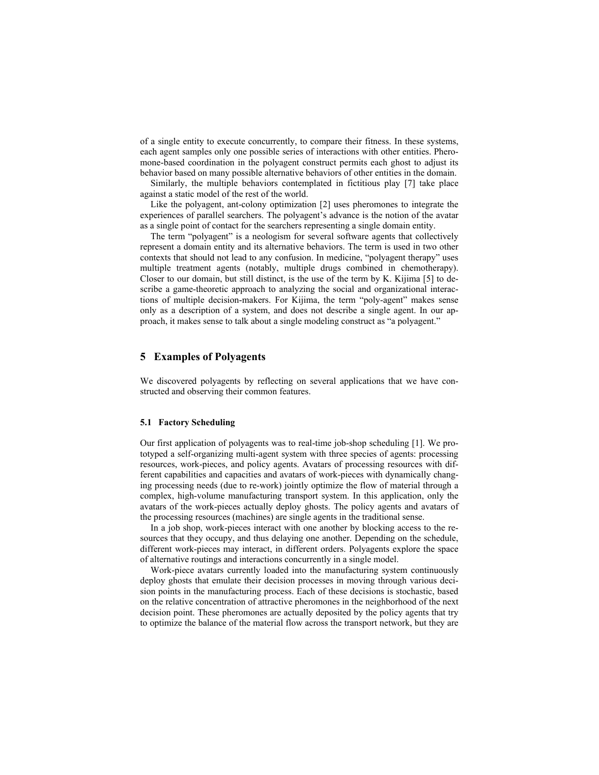of a single entity to execute concurrently, to compare their fitness. In these systems, each agent samples only one possible series of interactions with other entities. Pheromone-based coordination in the polyagent construct permits each ghost to adjust its behavior based on many possible alternative behaviors of other entities in the domain.

Similarly, the multiple behaviors contemplated in fictitious play [7] take place against a static model of the rest of the world.

Like the polyagent, ant-colony optimization [2] uses pheromones to integrate the experiences of parallel searchers. The polyagent's advance is the notion of the avatar as a single point of contact for the searchers representing a single domain entity.

The term "polyagent" is a neologism for several software agents that collectively represent a domain entity and its alternative behaviors. The term is used in two other contexts that should not lead to any confusion. In medicine, "polyagent therapy" uses multiple treatment agents (notably, multiple drugs combined in chemotherapy). Closer to our domain, but still distinct, is the use of the term by K. Kijima [5] to describe a game-theoretic approach to analyzing the social and organizational interactions of multiple decision-makers. For Kijima, the term "poly-agent" makes sense only as a description of a system, and does not describe a single agent. In our approach, it makes sense to talk about a single modeling construct as "a polyagent."

### **5 Examples of Polyagents**

We discovered polyagents by reflecting on several applications that we have constructed and observing their common features.

#### **5.1 Factory Scheduling**

Our first application of polyagents was to real-time job-shop scheduling [1]. We prototyped a self-organizing multi-agent system with three species of agents: processing resources, work-pieces, and policy agents. Avatars of processing resources with different capabilities and capacities and avatars of work-pieces with dynamically changing processing needs (due to re-work) jointly optimize the flow of material through a complex, high-volume manufacturing transport system. In this application, only the avatars of the work-pieces actually deploy ghosts. The policy agents and avatars of the processing resources (machines) are single agents in the traditional sense.

In a job shop, work-pieces interact with one another by blocking access to the resources that they occupy, and thus delaying one another. Depending on the schedule, different work-pieces may interact, in different orders. Polyagents explore the space of alternative routings and interactions concurrently in a single model.

Work-piece avatars currently loaded into the manufacturing system continuously deploy ghosts that emulate their decision processes in moving through various decision points in the manufacturing process. Each of these decisions is stochastic, based on the relative concentration of attractive pheromones in the neighborhood of the next decision point. These pheromones are actually deposited by the policy agents that try to optimize the balance of the material flow across the transport network, but they are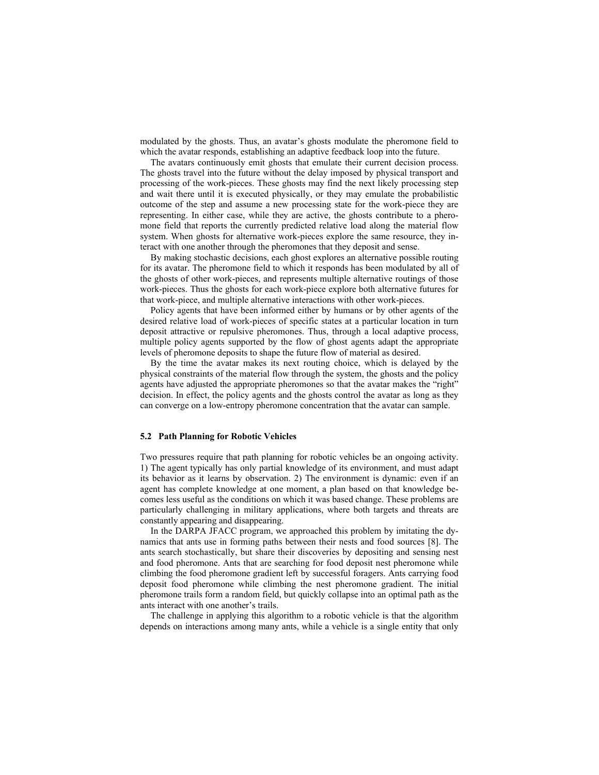modulated by the ghosts. Thus, an avatar's ghosts modulate the pheromone field to which the avatar responds, establishing an adaptive feedback loop into the future.

The avatars continuously emit ghosts that emulate their current decision process. The ghosts travel into the future without the delay imposed by physical transport and processing of the work-pieces. These ghosts may find the next likely processing step and wait there until it is executed physically, or they may emulate the probabilistic outcome of the step and assume a new processing state for the work-piece they are representing. In either case, while they are active, the ghosts contribute to a pheromone field that reports the currently predicted relative load along the material flow system. When ghosts for alternative work-pieces explore the same resource, they interact with one another through the pheromones that they deposit and sense.

By making stochastic decisions, each ghost explores an alternative possible routing for its avatar. The pheromone field to which it responds has been modulated by all of the ghosts of other work-pieces, and represents multiple alternative routings of those work-pieces. Thus the ghosts for each work-piece explore both alternative futures for that work-piece, and multiple alternative interactions with other work-pieces.

Policy agents that have been informed either by humans or by other agents of the desired relative load of work-pieces of specific states at a particular location in turn deposit attractive or repulsive pheromones. Thus, through a local adaptive process, multiple policy agents supported by the flow of ghost agents adapt the appropriate levels of pheromone deposits to shape the future flow of material as desired.

By the time the avatar makes its next routing choice, which is delayed by the physical constraints of the material flow through the system, the ghosts and the policy agents have adjusted the appropriate pheromones so that the avatar makes the "right" decision. In effect, the policy agents and the ghosts control the avatar as long as they can converge on a low-entropy pheromone concentration that the avatar can sample.

### **5.2 Path Planning for Robotic Vehicles**

Two pressures require that path planning for robotic vehicles be an ongoing activity. 1) The agent typically has only partial knowledge of its environment, and must adapt its behavior as it learns by observation. 2) The environment is dynamic: even if an agent has complete knowledge at one moment, a plan based on that knowledge becomes less useful as the conditions on which it was based change. These problems are particularly challenging in military applications, where both targets and threats are constantly appearing and disappearing.

In the DARPA JFACC program, we approached this problem by imitating the dynamics that ants use in forming paths between their nests and food sources [8]. The ants search stochastically, but share their discoveries by depositing and sensing nest and food pheromone. Ants that are searching for food deposit nest pheromone while climbing the food pheromone gradient left by successful foragers. Ants carrying food deposit food pheromone while climbing the nest pheromone gradient. The initial pheromone trails form a random field, but quickly collapse into an optimal path as the ants interact with one another's trails.

The challenge in applying this algorithm to a robotic vehicle is that the algorithm depends on interactions among many ants, while a vehicle is a single entity that only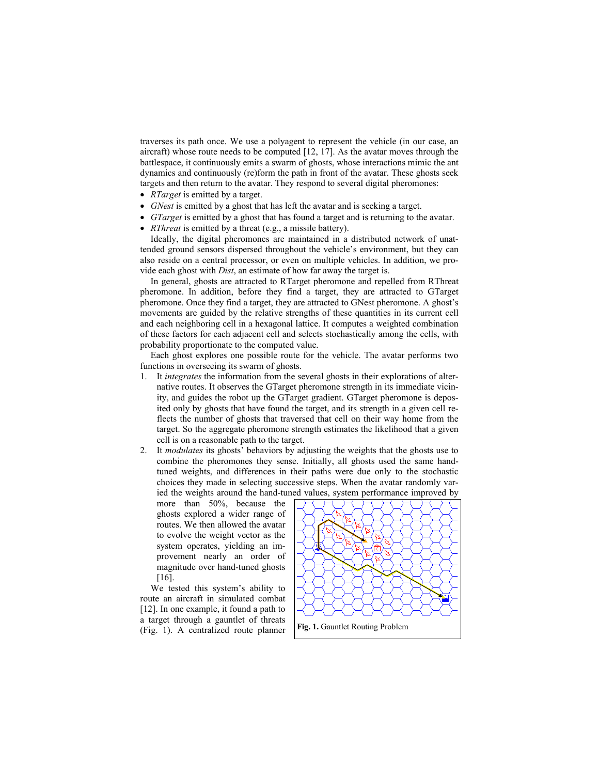traverses its path once. We use a polyagent to represent the vehicle (in our case, an aircraft) whose route needs to be computed [12, 17]. As the avatar moves through the battlespace, it continuously emits a swarm of ghosts, whose interactions mimic the ant dynamics and continuously (re)form the path in front of the avatar. These ghosts seek targets and then return to the avatar. They respond to several digital pheromones:

- *RTarget* is emitted by a target.
- *GNest* is emitted by a ghost that has left the avatar and is seeking a target.
- *GTarget* is emitted by a ghost that has found a target and is returning to the avatar.
- *RThreat* is emitted by a threat (e.g., a missile battery).

Ideally, the digital pheromones are maintained in a distributed network of unattended ground sensors dispersed throughout the vehicle's environment, but they can also reside on a central processor, or even on multiple vehicles. In addition, we provide each ghost with *Dist*, an estimate of how far away the target is.

In general, ghosts are attracted to RTarget pheromone and repelled from RThreat pheromone. In addition, before they find a target, they are attracted to GTarget pheromone. Once they find a target, they are attracted to GNest pheromone. A ghost's movements are guided by the relative strengths of these quantities in its current cell and each neighboring cell in a hexagonal lattice. It computes a weighted combination of these factors for each adjacent cell and selects stochastically among the cells, with probability proportionate to the computed value.

Each ghost explores one possible route for the vehicle. The avatar performs two functions in overseeing its swarm of ghosts.

- 1. It *integrates* the information from the several ghosts in their explorations of alternative routes. It observes the GTarget pheromone strength in its immediate vicinity, and guides the robot up the GTarget gradient. GTarget pheromone is deposited only by ghosts that have found the target, and its strength in a given cell reflects the number of ghosts that traversed that cell on their way home from the target. So the aggregate pheromone strength estimates the likelihood that a given cell is on a reasonable path to the target.
- 2. It *modulates* its ghosts' behaviors by adjusting the weights that the ghosts use to combine the pheromones they sense. Initially, all ghosts used the same handtuned weights, and differences in their paths were due only to the stochastic choices they made in selecting successive steps. When the avatar randomly varied the weights around the hand-tuned values, system performance improved by

more than 50%, because the ghosts explored a wider range of routes. We then allowed the avatar to evolve the weight vector as the system operates, yielding an improvement nearly an order of magnitude over hand-tuned ghosts [16].

We tested this system's ability to route an aircraft in simulated combat [12]. In one example, it found a path to a target through a gauntlet of threats (Fig. 1). A centralized route planner **Fig. 1.** Gauntlet Routing Problem

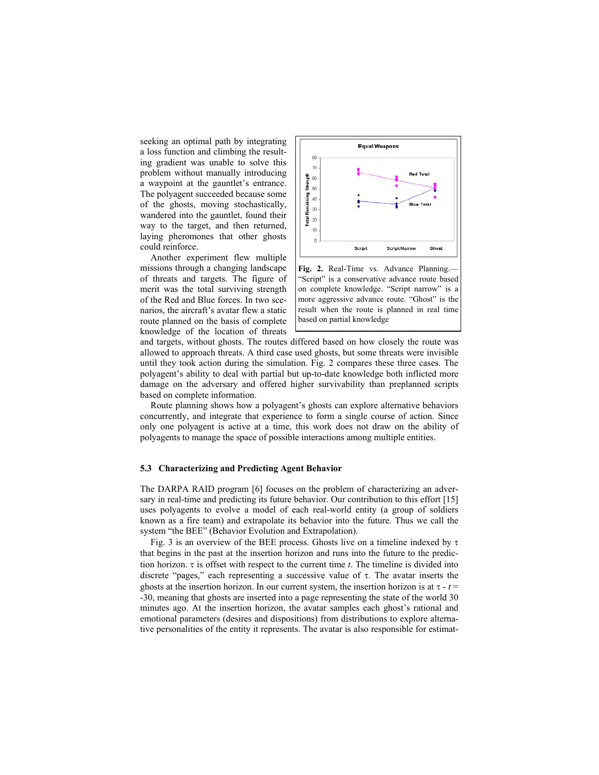seeking an optimal path by integrating a loss function and climbing the resulting gradient was unable to solve this problem without manually introducing a waypoint at the gauntlet's entrance. The polyagent succeeded because some of the ghosts, moving stochastically, wandered into the gauntlet, found their way to the target, and then returned, laying pheromones that other ghosts could reinforce.

Another experiment flew multiple missions through a changing landscape of threats and targets. The figure of merit was the total surviving strength of the Red and Blue forces. In two scenarios, the aircraft's avatar flew a static route planned on the basis of complete knowledge of the location of threats



Fig. 2. Real-Time vs. Advance Planning. "Script" is a conservative advance route based on complete knowledge. "Script narrow" is a more aggressive advance route. "Ghost" is the result when the route is planned in real time based on partial knowledge

and targets, without ghosts. The routes differed based on how closely the route was allowed to approach threats. A third case used ghosts, but some threats were invisible until they took action during the simulation. Fig. 2 compares these three cases. The polyagent's ability to deal with partial but up-to-date knowledge both inflicted more damage on the adversary and offered higher survivability than preplanned scripts based on complete information.

Route planning shows how a polyagent's ghosts can explore alternative behaviors concurrently, and integrate that experience to form a single course of action. Since only one polyagent is active at a time, this work does not draw on the ability of polyagents to manage the space of possible interactions among multiple entities.

### **5.3 Characterizing and Predicting Agent Behavior**

The DARPA RAID program [6] focuses on the problem of characterizing an adversary in real-time and predicting its future behavior. Our contribution to this effort [15] uses polyagents to evolve a model of each real-world entity (a group of soldiers known as a fire team) and extrapolate its behavior into the future. Thus we call the system "the BEE" (Behavior Evolution and Extrapolation).

Fig. 3 is an overview of the BEE process. Ghosts live on a timeline indexed by  $\tau$ that begins in the past at the insertion horizon and runs into the future to the prediction horizon. τ is offset with respect to the current time *t*. The timeline is divided into discrete "pages," each representing a successive value of  $\tau$ . The avatar inserts the ghosts at the insertion horizon. In our current system, the insertion horizon is at  $\tau$  -  $t$  = -30, meaning that ghosts are inserted into a page representing the state of the world 30 minutes ago. At the insertion horizon, the avatar samples each ghost's rational and emotional parameters (desires and dispositions) from distributions to explore alternative personalities of the entity it represents. The avatar is also responsible for estimat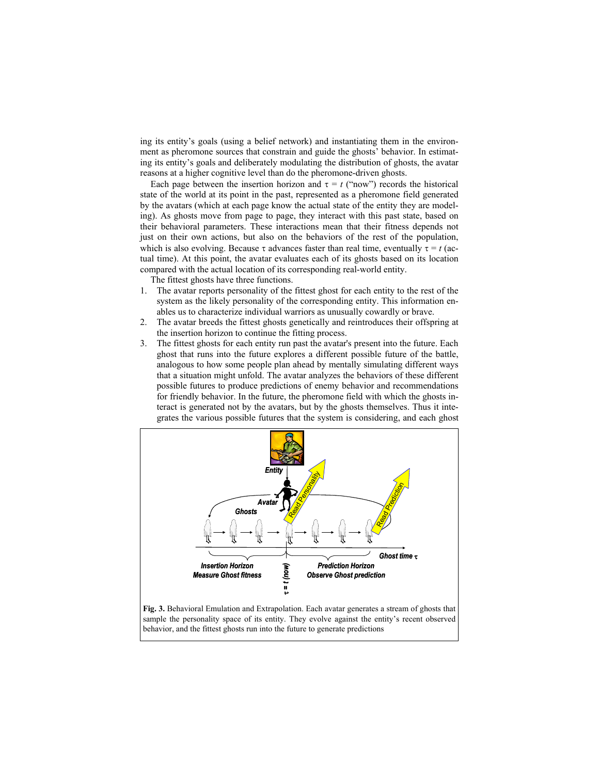ing its entity's goals (using a belief network) and instantiating them in the environment as pheromone sources that constrain and guide the ghosts' behavior. In estimating its entity's goals and deliberately modulating the distribution of ghosts, the avatar reasons at a higher cognitive level than do the pheromone-driven ghosts.

Each page between the insertion horizon and  $\tau = t$  ("now") records the historical state of the world at its point in the past, represented as a pheromone field generated by the avatars (which at each page know the actual state of the entity they are modeling). As ghosts move from page to page, they interact with this past state, based on their behavioral parameters. These interactions mean that their fitness depends not just on their own actions, but also on the behaviors of the rest of the population, which is also evolving. Because  $\tau$  advances faster than real time, eventually  $\tau = t$  (actual time). At this point, the avatar evaluates each of its ghosts based on its location compared with the actual location of its corresponding real-world entity.

The fittest ghosts have three functions.

- 1. The avatar reports personality of the fittest ghost for each entity to the rest of the system as the likely personality of the corresponding entity. This information enables us to characterize individual warriors as unusually cowardly or brave.
- 2. The avatar breeds the fittest ghosts genetically and reintroduces their offspring at the insertion horizon to continue the fitting process.
- 3. The fittest ghosts for each entity run past the avatar's present into the future. Each ghost that runs into the future explores a different possible future of the battle, analogous to how some people plan ahead by mentally simulating different ways that a situation might unfold. The avatar analyzes the behaviors of these different possible futures to produce predictions of enemy behavior and recommendations for friendly behavior. In the future, the pheromone field with which the ghosts interact is generated not by the avatars, but by the ghosts themselves. Thus it integrates the various possible futures that the system is considering, and each ghost

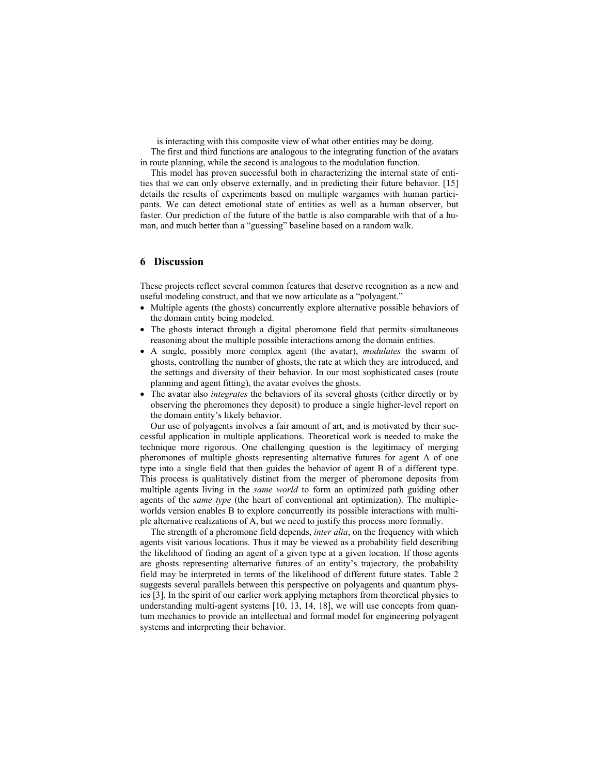is interacting with this composite view of what other entities may be doing.

The first and third functions are analogous to the integrating function of the avatars in route planning, while the second is analogous to the modulation function.

This model has proven successful both in characterizing the internal state of entities that we can only observe externally, and in predicting their future behavior. [15] details the results of experiments based on multiple wargames with human participants. We can detect emotional state of entities as well as a human observer, but faster. Our prediction of the future of the battle is also comparable with that of a human, and much better than a "guessing" baseline based on a random walk.

### **6 Discussion**

These projects reflect several common features that deserve recognition as a new and useful modeling construct, and that we now articulate as a "polyagent."

- Multiple agents (the ghosts) concurrently explore alternative possible behaviors of the domain entity being modeled.
- The ghosts interact through a digital pheromone field that permits simultaneous reasoning about the multiple possible interactions among the domain entities.
- A single, possibly more complex agent (the avatar), *modulates* the swarm of ghosts, controlling the number of ghosts, the rate at which they are introduced, and the settings and diversity of their behavior. In our most sophisticated cases (route planning and agent fitting), the avatar evolves the ghosts.
- The avatar also *integrates* the behaviors of its several ghosts (either directly or by observing the pheromones they deposit) to produce a single higher-level report on the domain entity's likely behavior.

Our use of polyagents involves a fair amount of art, and is motivated by their successful application in multiple applications. Theoretical work is needed to make the technique more rigorous. One challenging question is the legitimacy of merging pheromones of multiple ghosts representing alternative futures for agent A of one type into a single field that then guides the behavior of agent B of a different type. This process is qualitatively distinct from the merger of pheromone deposits from multiple agents living in the *same world* to form an optimized path guiding other agents of the *same type* (the heart of conventional ant optimization). The multipleworlds version enables B to explore concurrently its possible interactions with multiple alternative realizations of A, but we need to justify this process more formally.

The strength of a pheromone field depends, *inter alia*, on the frequency with which agents visit various locations. Thus it may be viewed as a probability field describing the likelihood of finding an agent of a given type at a given location. If those agents are ghosts representing alternative futures of an entity's trajectory, the probability field may be interpreted in terms of the likelihood of different future states. Table 2 suggests several parallels between this perspective on polyagents and quantum physics [3]. In the spirit of our earlier work applying metaphors from theoretical physics to understanding multi-agent systems [10, 13, 14, 18], we will use concepts from quantum mechanics to provide an intellectual and formal model for engineering polyagent systems and interpreting their behavior.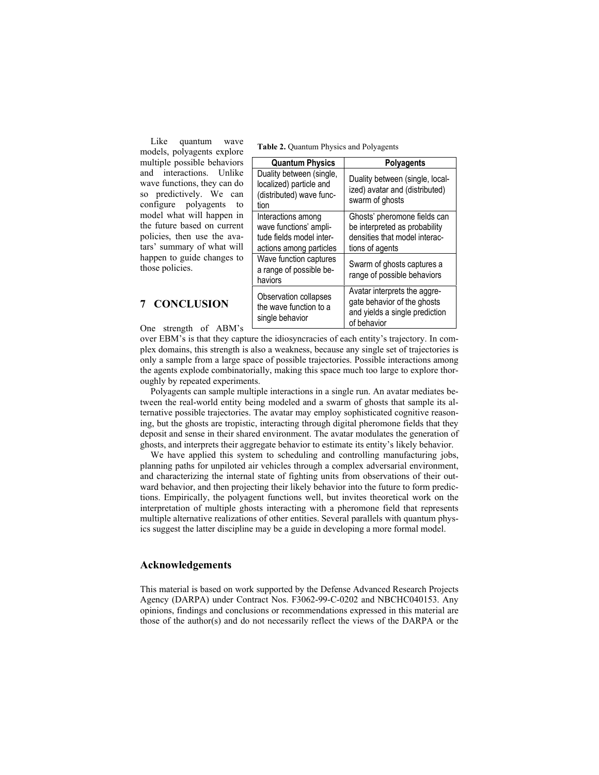**Table 2.** Quantum Physics and Polyagents

Like quantum wave models, polyagents explore multiple possible behaviors and interactions. Unlike wave functions, they can do so predictively. We can configure polyagents to model what will happen in the future based on current policies, then use the avatars' summary of what will happen to guide changes to those policies.

| <b>Quantum Physics</b>                                                                              | <b>Polyagents</b>                                                                                                 |
|-----------------------------------------------------------------------------------------------------|-------------------------------------------------------------------------------------------------------------------|
| Duality between (single,<br>localized) particle and<br>(distributed) wave func-<br>tion             | Duality between (single, local-<br>ized) avatar and (distributed)<br>swarm of ghosts                              |
| Interactions among<br>wave functions' ampli-<br>tude fields model inter-<br>actions among particles | Ghosts' pheromone fields can<br>be interpreted as probability<br>densities that model interac-<br>tions of agents |
| Wave function captures<br>a range of possible be-<br>haviors                                        | Swarm of ghosts captures a<br>range of possible behaviors                                                         |
| Observation collapses<br>the wave function to a<br>single behavior                                  | Avatar interprets the aggre-<br>gate behavior of the ghosts<br>and yields a single prediction<br>of behavior      |

**7 CONCLUSION** 

One strength of ABM's

over EBM's is that they capture the idiosyncracies of each entity's trajectory. In complex domains, this strength is also a weakness, because any single set of trajectories is only a sample from a large space of possible trajectories. Possible interactions among the agents explode combinatorially, making this space much too large to explore thoroughly by repeated experiments.

Polyagents can sample multiple interactions in a single run. An avatar mediates between the real-world entity being modeled and a swarm of ghosts that sample its alternative possible trajectories. The avatar may employ sophisticated cognitive reasoning, but the ghosts are tropistic, interacting through digital pheromone fields that they deposit and sense in their shared environment. The avatar modulates the generation of ghosts, and interprets their aggregate behavior to estimate its entity's likely behavior.

We have applied this system to scheduling and controlling manufacturing jobs, planning paths for unpiloted air vehicles through a complex adversarial environment, and characterizing the internal state of fighting units from observations of their outward behavior, and then projecting their likely behavior into the future to form predictions. Empirically, the polyagent functions well, but invites theoretical work on the interpretation of multiple ghosts interacting with a pheromone field that represents multiple alternative realizations of other entities. Several parallels with quantum physics suggest the latter discipline may be a guide in developing a more formal model.

## **Acknowledgements**

This material is based on work supported by the Defense Advanced Research Projects Agency (DARPA) under Contract Nos. F3062-99-C-0202 and NBCHC040153. Any opinions, findings and conclusions or recommendations expressed in this material are those of the author(s) and do not necessarily reflect the views of the DARPA or the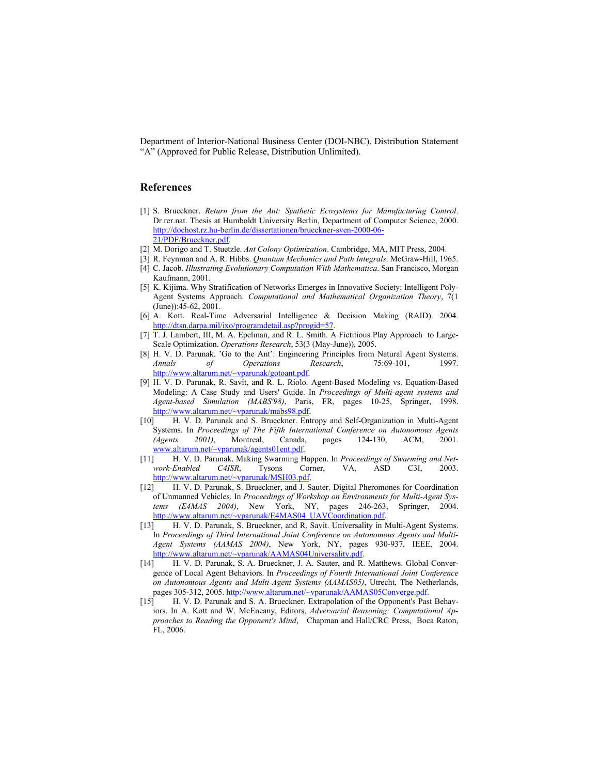Department of Interior-National Business Center (DOI-NBC). Distribution Statement "A" (Approved for Public Release, Distribution Unlimited).

### **References**

- [1] S. Brueckner. *Return from the Ant: Synthetic Ecosystems for Manufacturing Control*. Dr.rer.nat. Thesis at Humboldt University Berlin, Department of Computer Science, 2000. http://dochost.rz.hu-berlin.de/dissertationen/brueckner-sven-2000-06- 21/PDF/Brueckner.pdf.
- [2] M. Dorigo and T. Stuetzle. *Ant Colony Optimization*. Cambridge, MA, MIT Press, 2004.
- [3] R. Feynman and A. R. Hibbs. *Quantum Mechanics and Path Integrals*. McGraw-Hill, 1965.
- [4] C. Jacob. *Illustrating Evolutionary Computation With Mathematica*. San Francisco, Morgan Kaufmann, 2001.
- [5] K. Kijima. Why Stratification of Networks Emerges in Innovative Society: Intelligent Poly-Agent Systems Approach. *Computational and Mathematical Organization Theory*, 7(1 (June)):45-62, 2001.
- [6] A. Kott. Real-Time Adversarial Intelligence & Decision Making (RAID). 2004. http://dtsn.darpa.mil/ixo/programdetail.asp?progid=57.
- [7] T. J. Lambert, III, M. A. Epelman, and R. L. Smith. A Fictitious Play Approach to Large-Scale Optimization. *Operations Research*, 53(3 (May-June)), 2005.
- [8] H. V. D. Parunak. 'Go to the Ant': Engineering Principles from Natural Agent Systems. *Annals of Operations Research*, 75:69-101, 1997. http://www.altarum.net/~vparunak/gotoant.pdf.
- [9] H. V. D. Parunak, R. Savit, and R. L. Riolo. Agent-Based Modeling vs. Equation-Based Modeling: A Case Study and Users' Guide. In *Proceedings of Multi-agent systems and Agent-based Simulation (MABS'98)*, Paris, FR, pages 10-25, Springer, 1998. http://www.altarum.net/~vparunak/mabs98.pdf.
- [10] H. V. D. Parunak and S. Brueckner. Entropy and Self-Organization in Multi-Agent Systems. In *Proceedings of The Fifth International Conference on Autonomous Agents (Agents 2001)*, Montreal, Canada, pages 124-130, ACM, 2001. www.altarum.net/~vparunak/agents01ent.pdf.
- [11] H. V. D. Parunak. Making Swarming Happen. In *Proceedings of Swarming and Network-Enabled C4ISR*, Tysons Corner, VA, ASD C3I, 2003. http://www.altarum.net/~vparunak/MSH03.pdf.
- [12] H. V. D. Parunak, S. Brueckner, and J. Sauter. Digital Pheromones for Coordination of Unmanned Vehicles. In *Proceedings of Workshop on Environments for Multi-Agent Systems (E4MAS 2004)*, New York, NY, pages 246-263, Springer, 2004. http://www.altarum.net/~vparunak/E4MAS04\_UAVCoordination.pdf.
- [13] H. V. D. Parunak, S. Brueckner, and R. Savit. Universality in Multi-Agent Systems. In *Proceedings of Third International Joint Conference on Autonomous Agents and Multi-Agent Systems (AAMAS 2004)*, New York, NY, pages 930-937, IEEE, 2004. http://www.altarum.net/~vparunak/AAMAS04Universality.pdf.
- [14] H. V. D. Parunak, S. A. Brueckner, J. A. Sauter, and R. Matthews. Global Convergence of Local Agent Behaviors. In *Proceedings of Fourth International Joint Conference on Autonomous Agents and Multi-Agent Systems (AAMAS05)*, Utrecht, The Netherlands, pages 305-312, 2005. http://www.altarum.net/~vparunak/AAMAS05Converge.pdf.
- [15] H. V. D. Parunak and S. A. Brueckner. Extrapolation of the Opponent's Past Behaviors. In A. Kott and W. McEneany, Editors, *Adversarial Reasoning: Computational Approaches to Reading the Opponent's Mind*, Chapman and Hall/CRC Press, Boca Raton, FL, 2006.